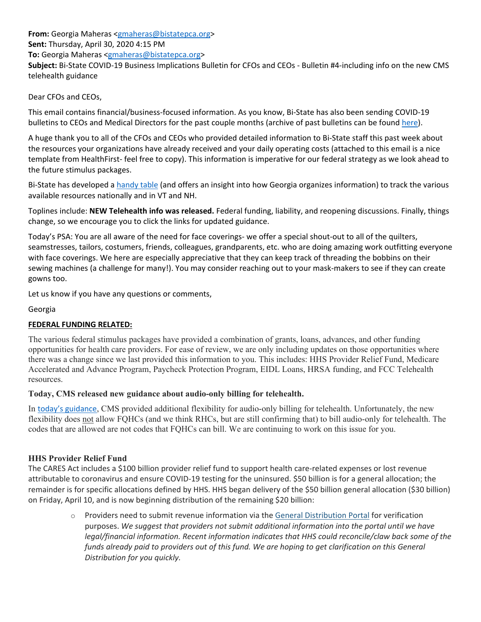**From:** Georgia Maheras <gmaheras@bistatepca.org>

**Sent:** Thursday, April 30, 2020 4:15 PM

**To:** Georgia Maheras <gmaheras@bistatepca.org>

**Subject:** Bi‐State COVID‐19 Business Implications Bulletin for CFOs and CEOs ‐ Bulletin #4‐including info on the new CMS telehealth guidance

Dear CFOs and CEOs,

This email contains financial/business‐focused information. As you know, Bi‐State has also been sending COVID‐19 bulletins to CEOs and Medical Directors for the past couple months (archive of past bulletins can be found here).

A huge thank you to all of the CFOs and CEOs who provided detailed information to Bi‐State staff this past week about the resources your organizations have already received and your daily operating costs (attached to this email is a nice template from HealthFirst‐ feel free to copy). This information is imperative for our federal strategy as we look ahead to the future stimulus packages.

Bi-State has developed a handy table (and offers an insight into how Georgia organizes information) to track the various available resources nationally and in VT and NH.

Toplines include: **NEW Telehealth info was released.** Federal funding, liability, and reopening discussions. Finally, things change, so we encourage you to click the links for updated guidance.

Today's PSA: You are all aware of the need for face coverings- we offer a special shout-out to all of the quilters, seamstresses, tailors, costumers, friends, colleagues, grandparents, etc. who are doing amazing work outfitting everyone with face coverings. We here are especially appreciative that they can keep track of threading the bobbins on their sewing machines (a challenge for many!). You may consider reaching out to your mask-makers to see if they can create gowns too.

Let us know if you have any questions or comments,

Georgia

## **FEDERAL FUNDING RELATED:**

The various federal stimulus packages have provided a combination of grants, loans, advances, and other funding opportunities for health care providers. For ease of review, we are only including updates on those opportunities where there was a change since we last provided this information to you. This includes: HHS Provider Relief Fund, Medicare Accelerated and Advance Program, Paycheck Protection Program, EIDL Loans, HRSA funding, and FCC Telehealth resources.

## **Today, CMS released new guidance about audio-only billing for telehealth.**

In today's guidance, CMS provided additional flexibility for audio-only billing for telehealth. Unfortunately, the new flexibility does not allow FQHCs (and we think RHCs, but are still confirming that) to bill audio-only for telehealth. The codes that are allowed are not codes that FQHCs can bill. We are continuing to work on this issue for you.

## **HHS Provider Relief Fund**

The CARES Act includes a \$100 billion provider relief fund to support health care‐related expenses or lost revenue attributable to coronavirus and ensure COVID‐19 testing for the uninsured. \$50 billion is for a general allocation; the remainder is for specific allocations defined by HHS. HHS began delivery of the \$50 billion general allocation (\$30 billion) on Friday, April 10, and is now beginning distribution of the remaining \$20 billion:

> o Providers need to submit revenue information via the General Distribution Portal for verification purposes. *We suggest that providers not submit additional information into the portal until we have legal/financial information. Recent information indicates that HHS could reconcile/claw back some of the* funds already paid to providers out of this fund. We are hoping to get clarification on this General *Distribution for you quickly.*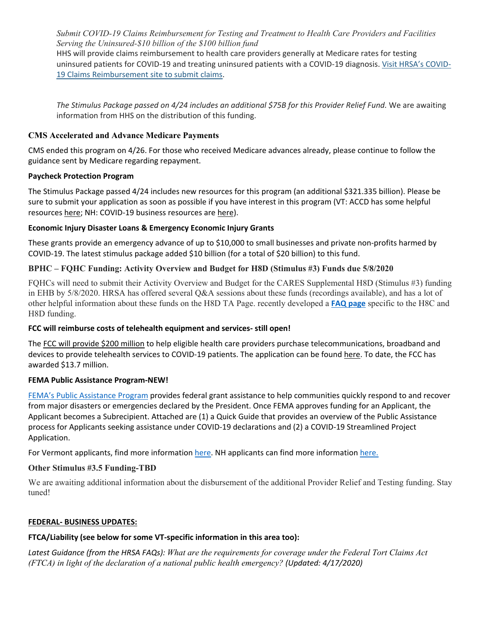*Submit COVID-19 Claims Reimbursement for Testing and Treatment to Health Care Providers and Facilities Serving the Uninsured-\$10 billion of the \$100 billion fund*

HHS will provide claims reimbursement to health care providers generally at Medicare rates for testing uninsured patients for COVID‐19 and treating uninsured patients with a COVID‐19 diagnosis. Visit HRSA's COVID‐ 19 Claims Reimbursement site to submit claims.

*The Stimulus Package passed on 4/24 includes an additional \$75B for this Provider Relief Fund.* We are awaiting information from HHS on the distribution of this funding.

## **CMS Accelerated and Advance Medicare Payments**

CMS ended this program on 4/26. For those who received Medicare advances already, please continue to follow the guidance sent by Medicare regarding repayment.

### **Paycheck Protection Program**

The Stimulus Package passed 4/24 includes new resources for this program (an additional \$321.335 billion). Please be sure to submit your application as soon as possible if you have interest in this program (VT: ACCD has some helpful resources here; NH: COVID‐19 business resources are here).

### **Economic Injury Disaster Loans & Emergency Economic Injury Grants**

These grants provide an emergency advance of up to \$10,000 to small businesses and private non‐profits harmed by COVID‐19. The latest stimulus package added \$10 billion (for a total of \$20 billion) to this fund.

## **BPHC – FQHC Funding: Activity Overview and Budget for H8D (Stimulus #3) Funds due 5/8/2020**

FQHCs will need to submit their Activity Overview and Budget for the CARES Supplemental H8D (Stimulus #3) funding in EHB by 5/8/2020. HRSA has offered several Q&A sessions about these funds (recordings available), and has a lot of other helpful information about these funds on the H8D TA Page. recently developed a **FAQ page** specific to the H8C and H8D funding.

#### **FCC will reimburse costs of telehealth equipment and services‐ still open!**

The FCC will provide \$200 million to help eligible health care providers purchase telecommunications, broadband and devices to provide telehealth services to COVID‐19 patients. The application can be found here. To date, the FCC has awarded \$13.7 million.

#### **FEMA Public Assistance Program‐NEW!**

FEMA's Public Assistance Program provides federal grant assistance to help communities quickly respond to and recover from major disasters or emergencies declared by the President. Once FEMA approves funding for an Applicant, the Applicant becomes a Subrecipient. Attached are (1) a Quick Guide that provides an overview of the Public Assistance process for Applicants seeking assistance under COVID‐19 declarations and (2) a COVID‐19 Streamlined Project Application.

For Vermont applicants, find more information here. NH applicants can find more information here.

## **Other Stimulus #3.5 Funding-TBD**

We are awaiting additional information about the disbursement of the additional Provider Relief and Testing funding. Stay tuned!

#### **FEDERAL‐ BUSINESS UPDATES:**

# **FTCA/Liability (see below for some VT‐specific information in this area too):**

*Latest Guidance (from the HRSA FAQs): What are the requirements for coverage under the Federal Tort Claims Act (FTCA) in light of the declaration of a national public health emergency? (Updated: 4/17/2020)*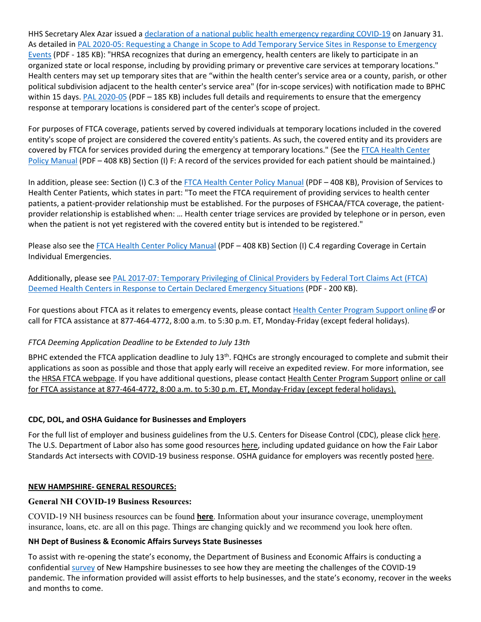HHS Secretary Alex Azar issued a declaration of a national public health emergency regarding COVID-19 on January 31. As detailed in PAL 2020‐05: Requesting a Change in Scope to Add Temporary Service Sites in Response to Emergency Events (PDF ‐ 185 KB): "HRSA recognizes that during an emergency, health centers are likely to participate in an organized state or local response, including by providing primary or preventive care services at temporary locations." Health centers may set up temporary sites that are "within the health center's service area or a county, parish, or other political subdivision adjacent to the health center's service area" (for in‐scope services) with notification made to BPHC within 15 days. PAL 2020-05 (PDF – 185 KB) includes full details and requirements to ensure that the emergency response at temporary locations is considered part of the center's scope of project.

For purposes of FTCA coverage, patients served by covered individuals at temporary locations included in the covered entity's scope of project are considered the covered entity's patients. As such, the covered entity and its providers are covered by FTCA for services provided during the emergency at temporary locations." (See the FTCA Health Center Policy Manual (PDF – 408 KB) Section (I) F: A record of the services provided for each patient should be maintained.)

In addition, please see: Section (I) C.3 of the FTCA Health Center Policy Manual (PDF – 408 KB), Provision of Services to Health Center Patients, which states in part: "To meet the FTCA requirement of providing services to health center patients, a patient-provider relationship must be established. For the purposes of FSHCAA/FTCA coverage, the patientprovider relationship is established when: … Health center triage services are provided by telephone or in person, even when the patient is not yet registered with the covered entity but is intended to be registered."

Please also see the FTCA Health Center Policy Manual (PDF – 408 KB) Section (I) C.4 regarding Coverage in Certain Individual Emergencies.

Additionally, please see PAL 2017‐07: Temporary Privileging of Clinical Providers by Federal Tort Claims Act (FTCA) Deemed Health Centers in Response to Certain Declared Emergency Situations (PDF ‐ 200 KB).

For questions about FTCA as it relates to emergency events, please contact Health Center Program Support online & or call for FTCA assistance at 877‐464‐4772, 8:00 a.m. to 5:30 p.m. ET, Monday‐Friday (except federal holidays).

## *FTCA Deeming Application Deadline to be Extended to July 13th*

BPHC extended the FTCA application deadline to July 13<sup>th</sup>. FQHCs are strongly encouraged to complete and submit their applications as soon as possible and those that apply early will receive an expedited review. For more information, see the HRSA FTCA webpage. If you have additional questions, please contact Health Center Program Support online or call for FTCA assistance at 877‐464‐4772, 8:00 a.m. to 5:30 p.m. ET, Monday‐Friday (except federal holidays).

#### **CDC, DOL, and OSHA Guidance for Businesses and Employers**

For the full list of employer and business guidelines from the U.S. Centers for Disease Control (CDC), please click here. The U.S. Department of Labor also has some good resources here, including updated guidance on how the Fair Labor Standards Act intersects with COVID-19 business response. OSHA guidance for employers was recently posted here.

#### **NEW HAMPSHIRE‐ GENERAL RESOURCES:**

#### **General NH COVID-19 Business Resources:**

COVID-19 NH business resources can be found **here**. Information about your insurance coverage, unemployment insurance, loans, etc. are all on this page. Things are changing quickly and we recommend you look here often.

#### **NH Dept of Business & Economic Affairs Surveys State Businesses**

To assist with re‐opening the state's economy, the Department of Business and Economic Affairs is conducting a confidential survey of New Hampshire businesses to see how they are meeting the challenges of the COVID‐19 pandemic. The information provided will assist efforts to help businesses, and the state's economy, recover in the weeks and months to come.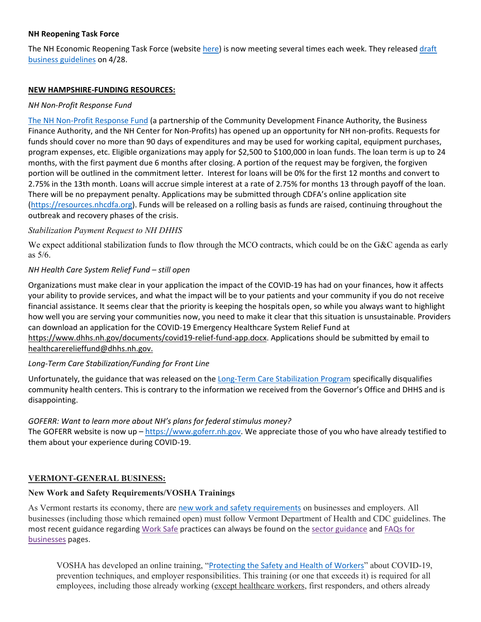### **NH Reopening Task Force**

The NH Economic Reopening Task Force (website here) is now meeting several times each week. They released draft business guidelines on 4/28.

#### **NEW HAMPSHIRE‐FUNDING RESOURCES:**

## *NH Non‐Profit Response Fund*

The NH Non‐Profit Response Fund (a partnership of the Community Development Finance Authority, the Business Finance Authority, and the NH Center for Non‐Profits) has opened up an opportunity for NH non‐profits. Requests for funds should cover no more than 90 days of expenditures and may be used for working capital, equipment purchases, program expenses, etc. Eligible organizations may apply for \$2,500 to \$100,000 in loan funds. The loan term is up to 24 months, with the first payment due 6 months after closing. A portion of the request may be forgiven, the forgiven portion will be outlined in the commitment letter. Interest for loans will be 0% for the first 12 months and convert to 2.75% in the 13th month. Loans will accrue simple interest at a rate of 2.75% for months 13 through payoff of the loan. There will be no prepayment penalty. Applications may be submitted through CDFA's online application site (https://resources.nhcdfa.org). Funds will be released on a rolling basis as funds are raised, continuing throughout the outbreak and recovery phases of the crisis.

### *Stabilization Payment Request to NH DHHS*

We expect additional stabilization funds to flow through the MCO contracts, which could be on the G&C agenda as early as 5/6.

### *NH Health Care System Relief Fund – still open*

Organizations must make clear in your application the impact of the COVID‐19 has had on your finances, how it affects your ability to provide services, and what the impact will be to your patients and your community if you do not receive financial assistance. It seems clear that the priority is keeping the hospitals open, so while you always want to highlight how well you are serving your communities now, you need to make it clear that this situation is unsustainable. Providers can download an application for the COVID‐19 Emergency Healthcare System Relief Fund at https://www.dhhs.nh.gov/documents/covid19‐relief‐fund‐app.docx. Applications should be submitted by email to healthcarerelieffund@dhhs.nh.gov.

#### *Long‐Term Care Stabilization/Funding for Front Line*

Unfortunately, the guidance that was released on the Long‐Term Care Stabilization Program specifically disqualifies community health centers. This is contrary to the information we received from the Governor's Office and DHHS and is disappointing.

## *GOFERR: Want to learn more about NH's plans for federal stimulus money?*

The GOFERR website is now up - https://www.goferr.nh.gov. We appreciate those of you who have already testified to them about your experience during COVID‐19.

## **VERMONT-GENERAL BUSINESS:**

# **New Work and Safety Requirements/VOSHA Trainings**

As Vermont restarts its economy, there are new work and safety requirements on businesses and employers. All businesses (including those which remained open) must follow Vermont Department of Health and CDC guidelines. The most recent guidance regarding Work Safe practices can always be found on the sector guidance and FAQs for businesses pages.

VOSHA has developed an online training, "Protecting the Safety and Health of Workers" about COVID-19, prevention techniques, and employer responsibilities. This training (or one that exceeds it) is required for all employees, including those already working (except healthcare workers, first responders, and others already